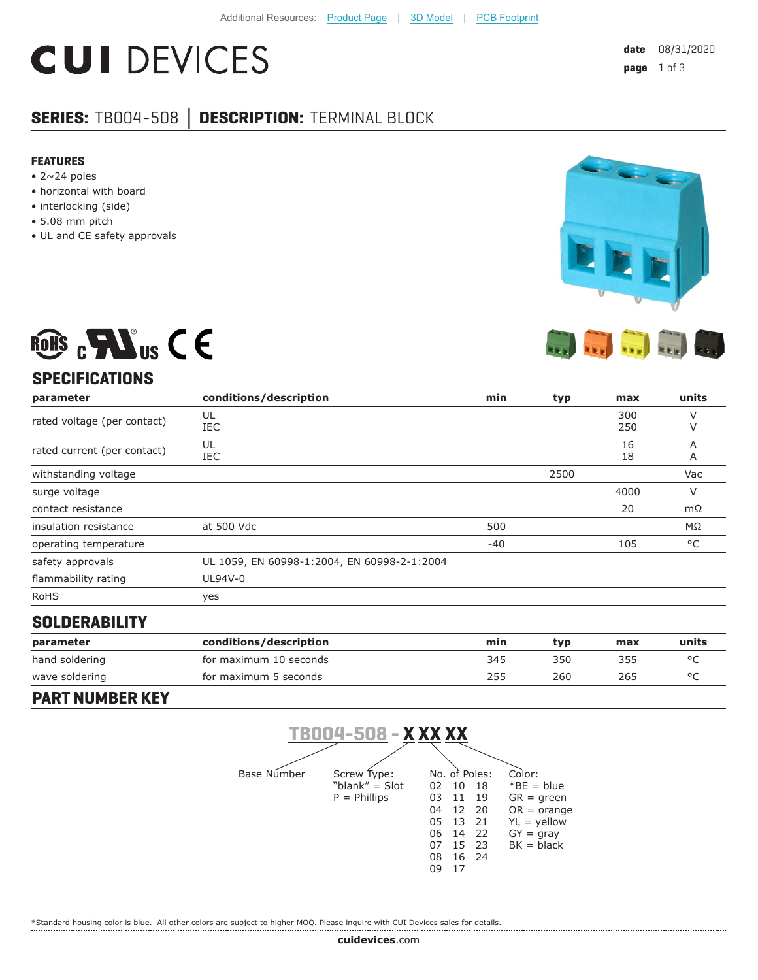# **CUI DEVICES**

### **SERIES:** TB004-508 **│ DESCRIPTION:** TERMINAL BLOCK

#### **FEATURES**

- $\bullet$  2~24 poles
- horizontal with board
- interlocking (side)
- 5.08 mm pitch
- UL and CE safety approvals



## ROHS  $_{c}$  Mus C E **SPECIFICATIONS**

| parameter                   | conditions/description                      | min   | typ  | max        | units  |
|-----------------------------|---------------------------------------------|-------|------|------------|--------|
| rated voltage (per contact) | UL<br>IEC                                   |       |      | 300<br>250 | ν      |
| rated current (per contact) | UL<br>IEC                                   |       |      | 16<br>18   | Α<br>Α |
| withstanding voltage        |                                             |       | 2500 |            | Vac    |
| surge voltage               |                                             |       |      | 4000       | V      |
| contact resistance          |                                             |       |      | 20         | mΩ     |
| insulation resistance       | at 500 Vdc                                  | 500   |      |            | MΩ     |
| operating temperature       |                                             | $-40$ |      | 105        | °C     |
| safety approvals            | UL 1059, EN 60998-1:2004, EN 60998-2-1:2004 |       |      |            |        |
| flammability rating         | UL94V-0                                     |       |      |            |        |
| <b>RoHS</b>                 | yes                                         |       |      |            |        |

#### **SOLDERABILITY**

| parameter      | conditions/description | min | tvp | max | units |
|----------------|------------------------|-----|-----|-----|-------|
| hand soldering | for maximum 10 seconds | 345 | 350 | 355 |       |
| wave soldering | for maximum 5 seconds  | 255 | 260 | 265 |       |

#### **PART NUMBER KEY**



\*Standard housing color is blue. All other colors are subject to higher MOQ. Please inquire with CUI Devices sales for details.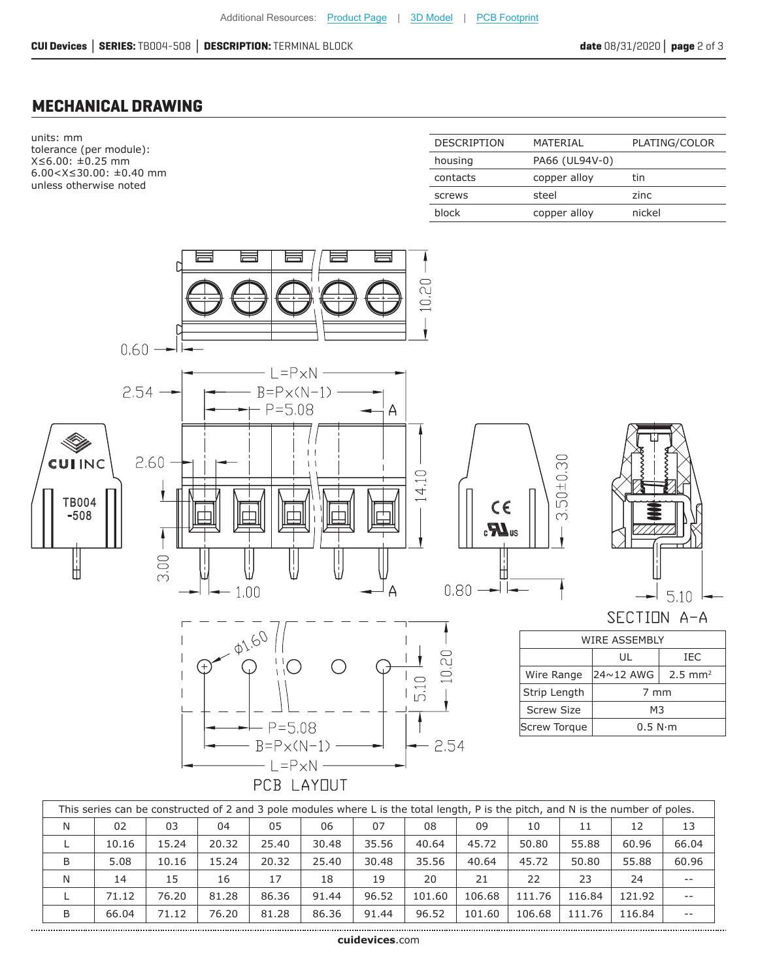#### **MECHANICAL DRAWING**

units: mm tolerance (per module): X≤6.00: ±0.25 mm 6.00<X≤30.00: ±0.40 mm unless otherwise noted

| MATFRIAI       | PLATING/COLOR |
|----------------|---------------|
| PA66 (UL94V-0) |               |
| copper alloy   | tin           |
| steel          | zinc          |
| copper alloy   | nickel        |
|                |               |



| This series can be constructed of 2 and 3 pole modules where L is the total length, P is the pitch, and N is the number of poles. |       |       |       |       |       |       |        |        |        |        |        |       |
|-----------------------------------------------------------------------------------------------------------------------------------|-------|-------|-------|-------|-------|-------|--------|--------|--------|--------|--------|-------|
| N                                                                                                                                 | 02    | 03    | 04    | 05    | 06    | 07    | 08     | 09     | 10     | 11     | 12     | 13    |
|                                                                                                                                   | 10.16 | 15.24 | 20.32 | 25.40 | 30.48 | 35.56 | 40.64  | 45.72  | 50.80  | 55.88  | 60.96  | 66.04 |
| B                                                                                                                                 | 5.08  | 10.16 | 15.24 | 20.32 | 25.40 | 30.48 | 35.56  | 40.64  | 45.72  | 50.80  | 55.88  | 60.96 |
| N                                                                                                                                 | 14    | 15    | 16    | 17    | 18    | 19    | 20     | 21     | 22     | 23     | 24     | $- -$ |
|                                                                                                                                   | 71.12 | 76.20 | 81.28 | 86.36 | 91.44 | 96.52 | 101.60 | 106.68 | 111.76 | 116.84 | 121.92 | $- -$ |
| B                                                                                                                                 | 66.04 | 71.12 | 76.20 | 81.28 | 86.36 | 91.44 | 96.52  | 101.60 | 106.68 | 111.76 | 116.84 | $- -$ |
|                                                                                                                                   |       |       |       |       |       |       |        |        |        |        |        |       |